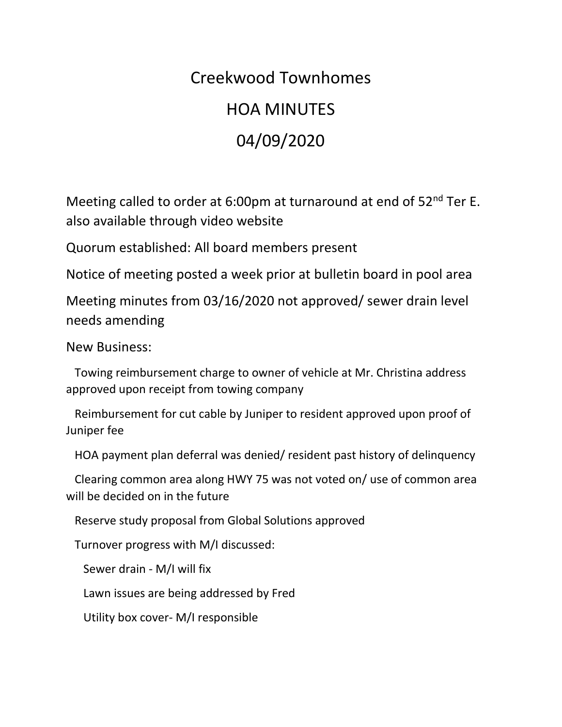## Creekwood Townhomes HOA MINUTES 04/09/2020

Meeting called to order at 6:00pm at turnaround at end of 52<sup>nd</sup> Ter E. also available through video website

Quorum established: All board members present

Notice of meeting posted a week prior at bulletin board in pool area

Meeting minutes from 03/16/2020 not approved/ sewer drain level needs amending

New Business:

 Towing reimbursement charge to owner of vehicle at Mr. Christina address approved upon receipt from towing company

 Reimbursement for cut cable by Juniper to resident approved upon proof of Juniper fee

HOA payment plan deferral was denied/ resident past history of delinquency

 Clearing common area along HWY 75 was not voted on/ use of common area will be decided on in the future

Reserve study proposal from Global Solutions approved

Turnover progress with M/I discussed:

Sewer drain - M/I will fix

Lawn issues are being addressed by Fred

Utility box cover- M/I responsible